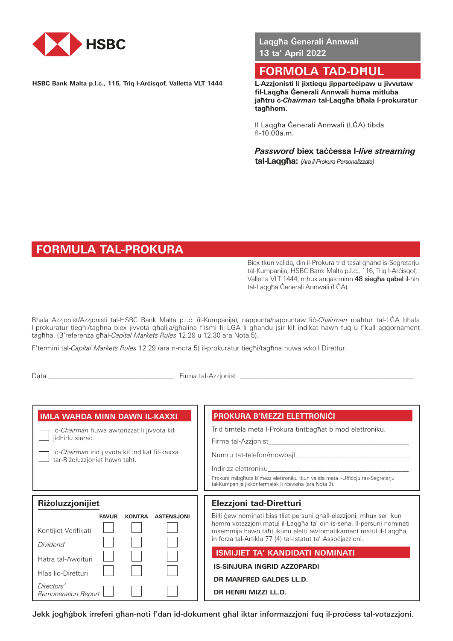

**HSBC Bank Malta p.l.c., 116, Triq l-Arċisqof, Valletta VLT 1444**

**Laqgħa Ġenerali Annwali 13 ta' April 2022**

# **FORMOLA TAD-DĦUL**

**L-Azzjonisti li jixtiequ jipparteċipaw u jivvutaw fil-Laqgħa Ġenerali Annwali huma mitluba jaħtru ċ-***Chairman* **tal-Laqgħa bħala l-prokuratur tagħhom.**

Il Laqgħa Ġenerali Annwali (LĠA) tibda fl-10.00a.m.

*Password* **biex taċċessa l-***live streaming* **tal-Laqgħa:** *(Ara ilProkura Personalizzata)*

# **FORMULA TAL-PROKURA**

Biex tkun valida, din il-Prokura trid tasal għand is-Segretarju tal-Kumpanija, HSBC Bank Malta p.l.c., 116, Triq l-Arċisqof, Valletta VLT 1444, mhux anqas minn 48 siegħa qabel il-ħin tal-Laqgħa Ġenerali Annwali (LĠA).

Bħala Azzjonist/Azzjonisti tal-HSBC Bank Malta p.l.c. (il-Kumpanija), nappunta/nappuntaw Iiċ-*Chairman* maħtur tal-LĠA bħala l-prokuratur tiegħi/tagħna biex jivvota għalija/għalina f'ismi fil-LĠA li għandu jsir kif indikat hawn fuq u f'kull aġġornament tagħha. (B'referenza għal-*Capital Markets Rules* 12.29 u 12.30 ara Nota 5).

F'termini tal-*Capital Markets Rules* 12.29 (ara n-nota 5) il-prokuratur tiegħi/tagħna huwa wkoll Direttur.

Data \_\_\_\_\_\_\_\_\_\_\_\_\_\_\_\_\_\_\_\_\_\_\_\_\_\_\_\_\_\_\_\_\_\_\_\_\_\_\_\_\_\_\_\_\_\_\_\_\_\_\_\_ Firma tal-Azzjonist \_\_\_\_\_\_\_\_\_\_\_\_\_\_\_\_\_\_\_\_\_\_\_\_\_\_\_\_\_\_\_\_\_\_\_\_\_\_\_\_\_\_\_\_\_\_\_\_\_\_\_\_\_\_\_\_\_\_\_\_\_\_\_\_\_\_\_\_\_\_\_\_

| <b>IMLA WAHDA MINN DAWN IL-KAXXI</b><br>lċ-Chairman huwa awtorizzat li jivvota kif<br>jidhirlu xieraq.<br>lc-Chairman irid jivvota kif indikat fil-kaxxa                                           | PROKURA B'MEZZI ELETTRONICI<br>Trid timtela meta I-Prokura tintbaghat b'mod elettroniku.<br>Firma tal-Azzjonist<br>Numru tat-telefon/mowbajl                                                                                                                                                                                                                                                                                                |
|----------------------------------------------------------------------------------------------------------------------------------------------------------------------------------------------------|---------------------------------------------------------------------------------------------------------------------------------------------------------------------------------------------------------------------------------------------------------------------------------------------------------------------------------------------------------------------------------------------------------------------------------------------|
| tar-Riżoluzzjoniet hawn taħt.                                                                                                                                                                      | Indirizz elettroniku<br>Prokura mibgħuta b'mezz elettroniku tkun valida meta l-Ufficcju tas-Segretarju<br>tal-Kumpanija jikkonfermalek li rċevieha (ara Nota 3).                                                                                                                                                                                                                                                                            |
| Riżoluzzjonijiet<br><b>KONTRA</b><br><b>ASTENSJONI</b><br><b>FAVUR</b><br>Kontijiet Verifikati<br>Dividend<br>Hatra tal-Awdituri<br><b>Hlas lid-Diretturi</b><br>Directors'<br>Remuneration Report | Elezzjoni tad-Diretturi<br>Billi gew nominati biss tliet persuni ghall-elezzjoni, mhux ser ikun<br>hemm votazzjoni matul il-Laqgħa ta' din is-sena. Il-persuni nominati<br>msemmija hawn taħt ikunu eletti awtomatikament matul il-Laqgħa,<br>in forza tal-Artiklu 77 (4) tal-Istatut ta' Assocjazzjoni.<br><b>ISMIJIET TA' KANDIDATI NOMINATI</b><br><b>IS-SINJURA INGRID AZZOPARDI</b><br>DR MANFRED GALDES LL.D.<br>DR HENRI MIZZI LL.D. |

Jekk jogħġbok irreferi għan-noti f'dan id-dokument għal iktar informazzjoni fuq il-proċess tal-votazzjoni.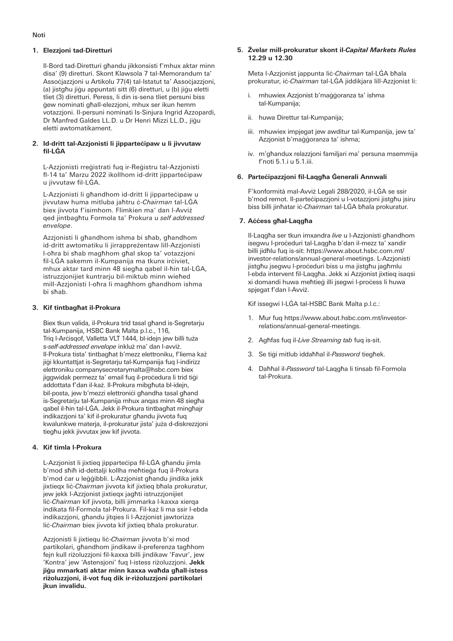# **1. Elezzjoni tad-Diretturi**

Il-Bord tad-Diretturi għandu jikkonsisti f'mhux aktar minn disa' (9) diretturi. Skont Klawsola 7 tal-Memorandum ta' Assoċjazzjoni u Artikolu 77(4) tal-Istatut ta' Assoċjazzjoni, (a) jistghu jigu appuntati sitt (6) diretturi, u (b) jigu eletti tliet (3) diretturi. Peress, li din is-sena tliet persuni biss ġew nominati għall-elezzjoni, mhux ser ikun hemm votazzjoni. Il-persuni nominati Is-Sinjura Ingrid Azzopardi, Dr Manfred Galdes LL.D. u Dr Henri Mizzi LL.D., jiġu eletti awtomatikament.

#### **2. Id-dritt tal-Azzjonisti li jipparteċipaw u li jivvutaw fil-LĠA**

L-Azzjonisti rreġistrati fuq ir-Reġistru tal-Azzjonisti fl-14 ta' Marzu 2022 ikollhom id-dritt jipparteċipaw u jivvutaw fil-LĠA.

L-Azzjonisti li għandhom id-dritt li jipparteċipaw u jivvutaw huma mitluba jaħtru ċ-*Chairman* tal-LĠA biex jivvota f'isimhom. Flimkien ma' dan l-Avviż qed jintbagħtu Formola ta' Prokura u *self addressed envelope*.

Azzjonisti li għandhom ishma bi sħab, għandhom id-dritt awtomatiku li jirrappreżentaw lill-Azzjonisti l-oħra bi sħab magħhom għal skop ta' votazzjoni fil-LĠA sakemm il-Kumpanija ma tkunx irċiviet, mhux aktar tard minn 48 siegħa qabel il-ħin tal-LĠA, istruzzjonijiet kuntrarju bil-miktub minn wieħed mill-Azzjonisti l-oħra li magħhom għandhom ishma bi sħab.

### **3. Kif tintbagħat il-Prokura**

Biex tkun valida, il-Prokura trid tasal għand is-Segretarju tal-Kumpanija, HSBC Bank Malta p.l.c., 116, Triq l-Arċisqof, Valletta VLT 1444, bl-idejn jew billi tuża s-*self-addressed envelope* inkluż ma' dan l-avviż. Il-Prokura tista' tintbagħat b'mezz elettroniku, f'liema każ jiġi kkuntattjat is-Segretarju tal-Kumpanija fuq l-indirizz elettroniku companysecretarymalta@hsbc.com biex jiggwidak permezz ta' email fuq il-proċedura li trid tiġi addottata f'dan il-każ. Il-Prokura mibgħuta bl-idejn, bil-posta, jew b'mezzi elettronici għandha tasal għand is-Segretarju tal-Kumpanija mhux anqas minn 48 siegħa qabel il-ħin tal-LĠA. Jekk il-Prokura tintbagħat mingħajr indikazzjoni ta' kif il-prokuratur għandu jivvota fuq kwalunkwe materja, il-prokuratur jista' juża d-diskrezzjoni tiegħu jekk jivvutax jew kif jivvota.

# **4. Kif timla l-Prokura**

L-Azzjonist li jixtieq jipparteċipa fil-LĠA għandu jimla b'mod sħiħ id-dettalji kollha meħtieġa fuq il-Prokura b'mod ċar u leġġibbli. L-Azzjonist għandu jindika jekk jixtieqx liċ-*Chairman* jivvota kif jixtieq bħala prokuratur, jew jekk l-Azzjonist jixtieqx jagħti istruzzjonijiet liċ-*Chairman* kif jivvota, billi jimmarka l-kaxxa xierqa indikata fil-Formola tal-Prokura. Fil-każ li ma ssir l-ebda indikazzjoni, għandu jitqies li l-Azzjonist jawtorizza liċ-*Chairman* biex jivvota kif jixtieq bħala prokuratur.

Azzjonisti li jixtiequ liċ-*Chairman* jivvota b'xi mod partikolari, għandhom jindikaw il-preferenza tagħhom fejn kull riżoluzzjoni fil-kaxxa billi jindikaw 'Favur', jew 'Kontra' jew 'Astensjoni' fuq l-istess riżoluzzjoni. **Jekk jiġu mmarkati aktar minn kaxxa waħda għall-istess riżoluzzjoni, il-vot fuq dik ir-riżoluzzjoni partikolari jkun invalidu.**

### **5. Żvelar mill-prokuratur skont il-***Capital Markets Rules* **12.29 u 12.30**

Meta l-Azzjonist jappunta liċ-*Chairman* tal-LĠA bħala prokuratur, iċ-*Chairman* tal-LĠA jiddikjara lill-Azzjonist li:

- i. mhuwiex Azzjonist b'maġġoranza ta' ishma tal-Kumpanija;
- ii. huwa Direttur tal-Kumpanija;
- iii. mhuwiex impjegat jew awditur tal-Kumpanija, jew ta' Azzjonist b'maġġoranza ta' ishma;
- iv. m'għandux relazzjoni familjari ma' persuna msemmija f'noti 5.1.i u 5.1.iii.

# **6. Parteċipazzjoni fil-Laqgħa Ġenerali Annwali**

F'konformità mal-Avviż Legali 288/2020, il-LĠA se ssir b'mod remot. Il-partecipazzioni u l-votazzioni jistghu isiru biss billi jinħatar iċ-*Chairman* tal-LĠA bħala prokuratur.

# **7. Aċċess għal-Laqgħa**

Il-Laqgħa ser tkun imxandra *live* u l-Azzjonisti għandhom isegwu l-proċeduri tal-Laqgħa b'dan il-mezz ta' xandir billi jidħlu fuq is-sit: https://www.about.hsbc.com.mt/ investor-relations/annual-general-meetings. L-Azzjonisti jistgħu jsegwu l-proċeduri biss u ma jistgħu jagħmlu l-ebda intervent fil-Laqgħa. Jekk xi Azzjonist jixtieq isaqsi xi domandi huwa meħtieġ illi jsegwi l-proċess li huwa spjegat f'dan l-Avviż.

Kif issegwi l-LĠA tal-HSBC Bank Malta p.l.c.:

- 1. Mur fuq https://www.about.hsbc.com.mt/investorrelations/annual-general-meetings.
- 2. Agħfas fuq il-*Live Streaming tab* fuq is-sit.
- 3. Se tiġi mitlub iddaħħal il-*Password* tiegħek.
- 4. Daħħal il-*Password* tal-Laqgħa li tinsab fil-Formola tal-Prokura.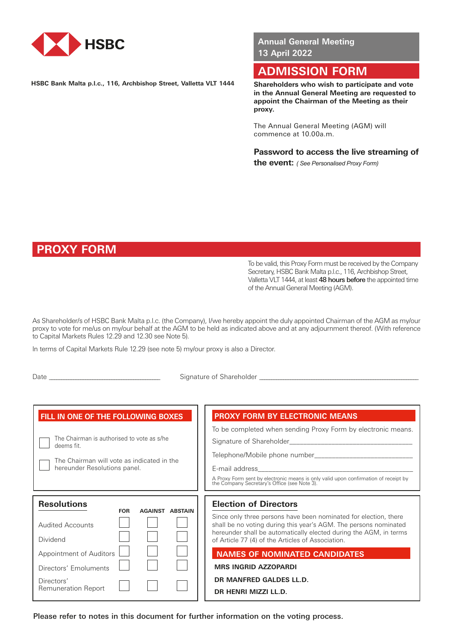

**HSBC Bank Malta p.l.c., 116, Archbishop Street, Valletta VLT 1444**

**Annual General Meeting 13 April 2022**

# **ADMISSION FORM**

**Shareholders who wish to participate and vote in the Annual General Meeting are requested to appoint the Chairman of the Meeting as their proxy.**

The Annual General Meeting (AGM) will commence at 10.00a.m.

**Password to access the live streaming of the event:** *( See Personalised Proxy Form)*

# **PROXY FORM**

To be valid, this Proxy Form must be received by the Company Secretary, HSBC Bank Malta p.l.c., 116, Archbishop Street, Valletta VLT 1444, at least 48 hours before the appointed time of the Annual General Meeting (AGM).

As Shareholder/s of HSBC Bank Malta p.l.c. (the Company), I/we hereby appoint the duly appointed Chairman of the AGM as my/our proxy to vote for me/us on my/our behalf at the AGM to be held as indicated above and at any adjournment thereof. (With reference to Capital Markets Rules 12.29 and 12.30 see Note 5).

In terms of Capital Markets Rule 12.29 (see note 5) my/our proxy is also a Director.

Date \_\_\_\_\_\_\_\_\_\_\_\_\_\_\_\_\_\_\_\_\_\_\_\_\_\_\_\_\_\_\_\_\_\_\_\_\_\_\_\_\_\_\_\_\_\_ Signature of Shareholder \_\_\_\_\_\_\_\_\_\_\_\_\_\_\_\_\_\_\_\_\_\_\_\_\_\_\_\_\_\_\_\_\_\_\_\_\_\_\_\_\_\_\_\_\_\_\_\_\_\_\_\_\_\_\_\_\_\_\_\_\_\_\_\_\_\_\_

| FILL IN ONE OF THE FOLLOWING BOXES<br>The Chairman is authorised to vote as s/he<br>deems fit<br>The Chairman will vote as indicated in the<br>hereunder Resolutions panel. | <b>PROXY FORM BY ELECTRONIC MEANS</b><br>To be completed when sending Proxy Form by electronic means.<br>Signature of Shareholder Signature of Shareholder<br>A Proxy Form sent by electronic means is only valid upon confirmation of receipt by the Company Secretary's Office (see Note 3). |
|-----------------------------------------------------------------------------------------------------------------------------------------------------------------------------|------------------------------------------------------------------------------------------------------------------------------------------------------------------------------------------------------------------------------------------------------------------------------------------------|
| <b>Resolutions</b>                                                                                                                                                          | <b>Election of Directors</b>                                                                                                                                                                                                                                                                   |
| <b>FOR</b>                                                                                                                                                                  | Since only three persons have been nominated for election, there                                                                                                                                                                                                                               |
| <b>AGAINST ABSTAIN</b>                                                                                                                                                      | shall be no voting during this year's AGM. The persons nominated                                                                                                                                                                                                                               |
| <b>Audited Accounts</b>                                                                                                                                                     | hereunder shall be automatically elected during the AGM, in terms                                                                                                                                                                                                                              |
| Dividend                                                                                                                                                                    | of Article 77 (4) of the Articles of Association.                                                                                                                                                                                                                                              |
| Appointment of Auditors                                                                                                                                                     | <b>NAMES OF NOMINATED CANDIDATES</b>                                                                                                                                                                                                                                                           |
| Directors' Emoluments                                                                                                                                                       | <b>MRS INGRID AZZOPARDI</b>                                                                                                                                                                                                                                                                    |
| Directors'                                                                                                                                                                  | DR MANFRED GALDES LL.D.                                                                                                                                                                                                                                                                        |
| <b>Remuneration Report</b>                                                                                                                                                  | DR HENRI MIZZI LL.D.                                                                                                                                                                                                                                                                           |

Please refer to notes in this document for further information on the voting process.